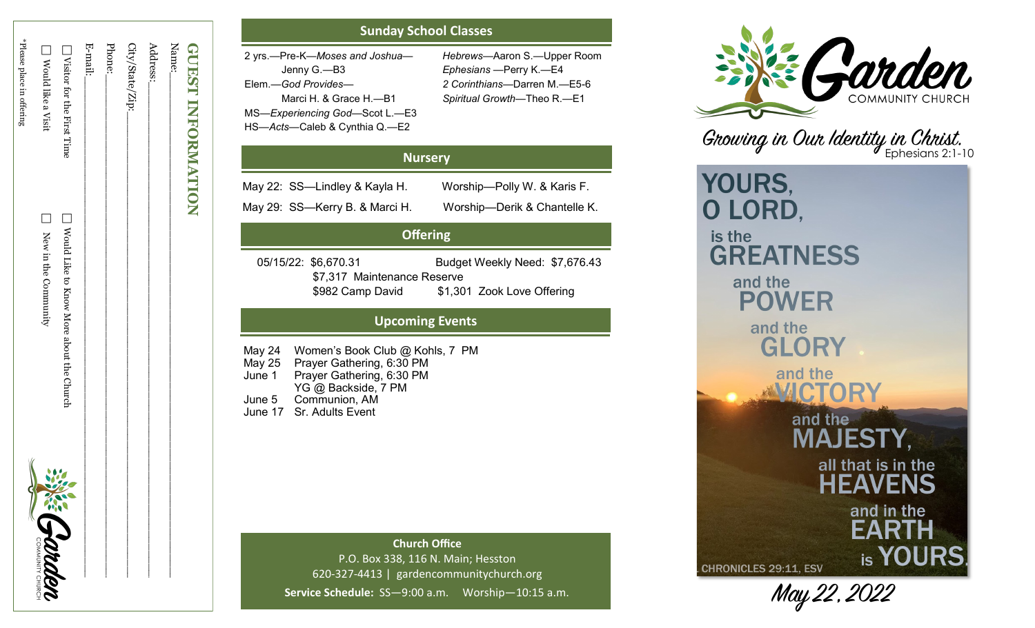| <b>GUEST INFORMATION</b>     |                                            |         |
|------------------------------|--------------------------------------------|---------|
| Name:                        |                                            |         |
| Address:                     |                                            |         |
| City/State/Zip:_             |                                            |         |
| Phone:                       |                                            |         |
| E-mail:                      |                                            |         |
| □ Visitor for the First Time | □ Would Like to Know More about the Church |         |
| Nould like a Visit           | New in the Community                       | DRAMAGE |
| *Please place in offering    |                                            |         |
|                              |                                            |         |

# **Sunday School Classes**

| 2 yrs.—Pre-K—Moses and Joshua— | Hebrews-Aarc            |
|--------------------------------|-------------------------|
| Jenny G.—B3                    | Ephesians -Pe           |
| Elem.-God Provides-            | 2 Corinthians-          |
| Marci H. & Grace H.-B1         | <b>Spiritual Growth</b> |
| MS-Experiencing God-Scot L.-E3 |                         |
| HS-Acts-Caleb & Cynthia Q.-E2  |                         |

—Aaron S. —Upper Room —Perry K. —E4 —Darren M. —E5 - 6 *Spiritual Growth* —Theo R. —E1

## **Nursery**

May 22: SS —Lindley & Kayla H. Worship

—Polly W. & Karis F. May 29: SS —Kerry B. & Marci H. Worship —Derik & Chantelle K.

# **Offering**

 05/15/22: \$6,670.31 Budget Weekly Need: \$7,676.43 \$7,317 Maintenance Reserve \$982 Camp David \$1,301 Zook Love Offering

# **Upcoming Events**

May 24 Women 's Book Club @ Kohls, 7 PM May 25 Prayer Gathering, 6:30 PM June 1 Prayer Gathering, 6:30 PM YG @ Backside, 7 PM June 5 Communion, AM June 17 Sr. Adults Event

> **Church Office** P.O. Box 338, 116 N. Main; Hesston 620 -327 -4413 | gardencommunitychurch.org Service Schedule: SS-9:00 a.m. Worship-10:15 a.m.



Growing in Our Identity in Christ.

YOURS, O LORD, is the **GREATNESS** and the **POWER** and the GLORY and the and the **MAJESTY,** all that is in the **HEAVENS** and in the **EARTH** is YOURS. **CHRONICLES 29:11, ESV** 

May 22, 2022